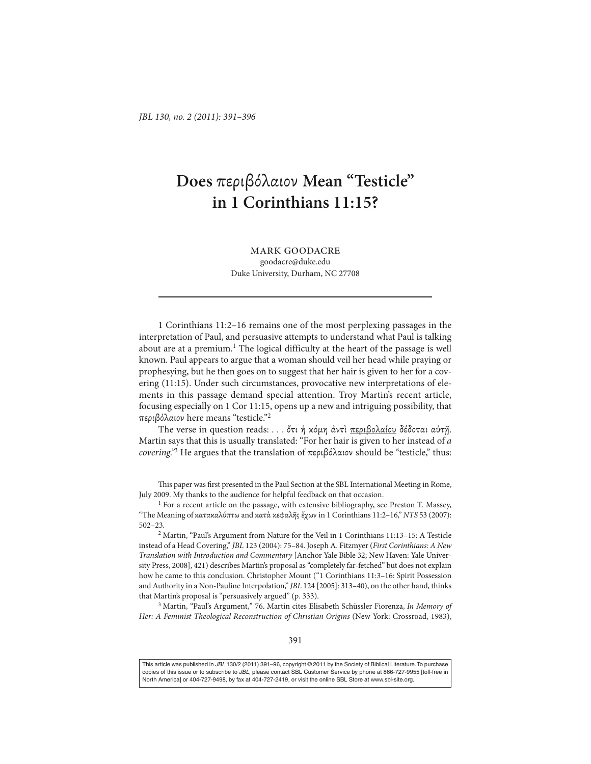## **Does** περιβόλαιον **Mean "Testicle" in 1 Corinthians 11:15?**

mark goodacre goodacre@duke.edu Duke University, Durham, NC 27708

1 Corinthians 11:2–16 remains one of the most perplexing passages in the interpretation of Paul, and persuasive attempts to understand what Paul is talking about are at a premium.<sup>1</sup> The logical difficulty at the heart of the passage is well known. Paul appears to argue that a woman should veil her head while praying or prophesying, but he then goes on to suggest that her hair is given to her for a covering (11:15). Under such circumstances, provocative new interpretations of elements in this passage demand special attention. Troy Martin's recent article, focusing especially on 1 Cor 11:15, opens up a new and intriguing possibility, that περιβόλαιον here means "testicle."<sup>2</sup>

The verse in question reads: . . . ὅτι ή κόμη ἀντὶ περιβολαίου δέδοται αὐτῆ. Martin says that this is usually translated: "For her hair is given to her instead of *a covering."*<sup>3</sup> He argues that the translation of περιβόλαιον should be "testicle," thus:

This paper was first presented in the Paul Section at the SBL International Meeting in Rome, July 2009. My thanks to the audience for helpful feedback on that occasion.

<sup>1</sup> For a recent article on the passage, with extensive bibliography, see Preston T. Massey, "The Meaning of κατακαλύπτω and κατὰ κεφαλῆς ἔχων in 1 Corinthians 11:2–16," *NTS* 53 (2007): 502–23.

<sup>2</sup> Martin, "Paul's Argument from Nature for the Veil in 1 Corinthians 11:13–15: A Testicle instead of a Head Covering," *JBL* 123 (2004): 75–84. Joseph A. Fitzmyer (*First Corinthians: A New Translation with Introduction and Commentary* [Anchor Yale Bible 32; New Haven: Yale University Press, 2008], 421) describes Martin's proposal as "completely far-fetched" but does not explain how he came to this conclusion. Christopher Mount ("1 Corinthians 11:3–16: Spirit Possession and Authority in a Non-Pauline Interpolation," *JBL* 124 [2005]: 313–40), on the other hand, thinks that Martin's proposal is "persuasively argued" (p. 333).

<sup>3</sup> Martin, "Paul's Argument," 76. Martin cites Elisabeth Schüssler Fiorenza, *In Memory of* Her: A Feminist Theological Reconstruction of Christian Origins (New York: Crossroad, 1983),

This article was published in JBL 130/2 (2011) 391-96, copyright © 2011 by the Society of Biblical Literature. To purchase copies of this issue or to subscribe to JBL, please contact SBL Customer Service by phone at 866-727-9955 [toll-free in North America] or 404-727-9498, by fax at 404-727-2419, or visit the online SBL Store at www.sbl-site.org.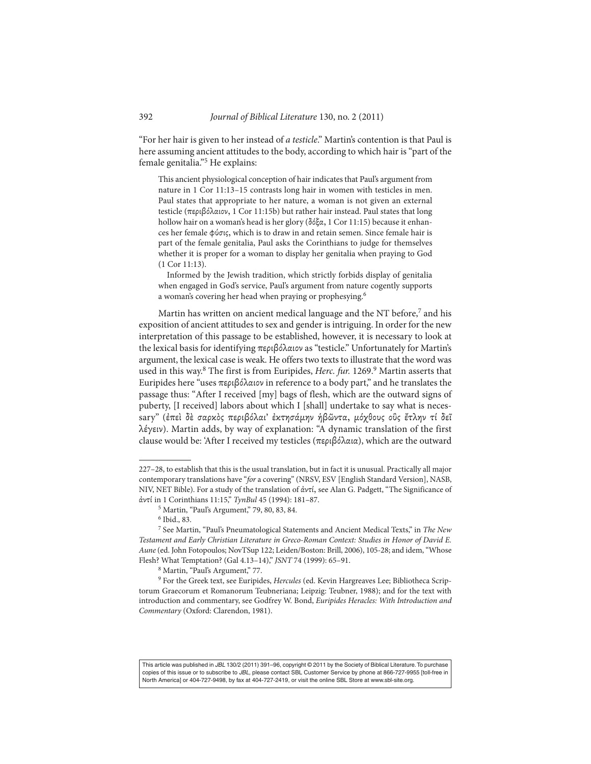"For her hair is given to her instead of *a testicle*." Martin's contention is that Paul is here assuming ancient attitudes to the body, according to which hair is "part of the female genitalia."<sup>5</sup> He explains:

This ancient physiological conception of hair indicates that Paul's argument from nature in 1 Cor 11:13–15 contrasts long hair in women with testicles in men. Paul states that appropriate to her nature, a woman is not given an external testicle (περιβόλαιον, 1 Cor 11:15b) but rather hair instead. Paul states that long hollow hair on a woman's head is her glory (δόξα, 1 Cor 11:15) because it enhances her female φύσις, which is to draw in and retain semen. Since female hair is part of the female genitalia, Paul asks the Corinthians to judge for themselves whether it is proper for a woman to display her genitalia when praying to God (1 Cor 11:13).

Informed by the Jewish tradition, which strictly forbids display of genitalia when engaged in God's service, Paul's argument from nature cogently supports a woman's covering her head when praying or prophesying.6

Martin has written on ancient medical language and the NT before,<sup>7</sup> and his exposition of ancient attitudes to sex and gender is intriguing. In order for the new interpretation of this passage to be established, however, it is necessary to look at the lexical basis for identifying περιβόλαιον as "testicle." Unfortunately for Martin's argument, the lexical case is weak. He offers two texts to illustrate that the word was used in this way.<sup>8</sup> The first is from Euripides, *Herc. fur.* 1269.<sup>9</sup> Martin asserts that Euripides here "uses περιβόλαιον in reference to a body part," and he translates the passage thus: "After I received [my] bags of flesh, which are the outward signs of puberty, [I received] labors about which I [shall] undertake to say what is necessary" (ἐπεὶ δὲ σαρκὸς περιβόλαι' ἐκτησάµην ἡβῶντα, µόχθους οὓς ἔτλην τί δεῖ λέγειν). Martin adds, by way of explanation: "A dynamic translation of the first clause would be: 'After I received my testicles (περιβόλαια), which are the outward

This article was published in JBL 130/2 (2011) 391-96, copyright @ 2011 by the Society of Biblical Literature. To purchase copies of this issue or to subscribe to JBL, please contact SBL Customer Service by phone at 866-727-9955 [toll-free in North America] or 404-727-9498, by fax at 404-727-2419, or visit the online SBL Store at www.sbl-site.org.

<sup>227–28,</sup> to establish that this is the usual translation, but in fact it is unusual. Practically all major contemporary translations have "*for* a covering" (NRSV, ESV [English Standard Version], NASB, NIV, NET Bible). For a study of the translation of ἀντί, see Alan G. Padgett, "The Significance of ἀντί in 1 Corinthians 11:15," *TynBul* 45 (1994): 181–87.

<sup>5</sup> Martin, "Paul's Argument," 79, 80, 83, 84.

<sup>6</sup> Ibid., 83.

<sup>7</sup> See Martin, "Paul's Pneumatological Statements and Ancient Medical Texts," in *The New Testament and Early Christian Literature in Greco-Roman Context: Studies in Honor of David E. Aune* (ed. John Fotopoulos; NovTSup 122; Leiden/Boston: Brill, 2006), 105-28; and idem, "Whose Flesh? What Temptation? (Gal 4.13–14)," *JSNT* 74 (1999): 65–91.

<sup>8</sup> Martin, "Paul's Argument," 77.

<sup>9</sup> For the Greek text, see Euripides, *Hercules* (ed. Kevin Hargreaves Lee; Bibliotheca Scriptorum Graecorum et Romanorum Teubneriana; Leipzig: Teubner, 1988); and for the text with introduction and commentary, see Godfrey W. Bond, *Euripides Heracles: With Introduction and Commentary* (Oxford: Clarendon, 1981).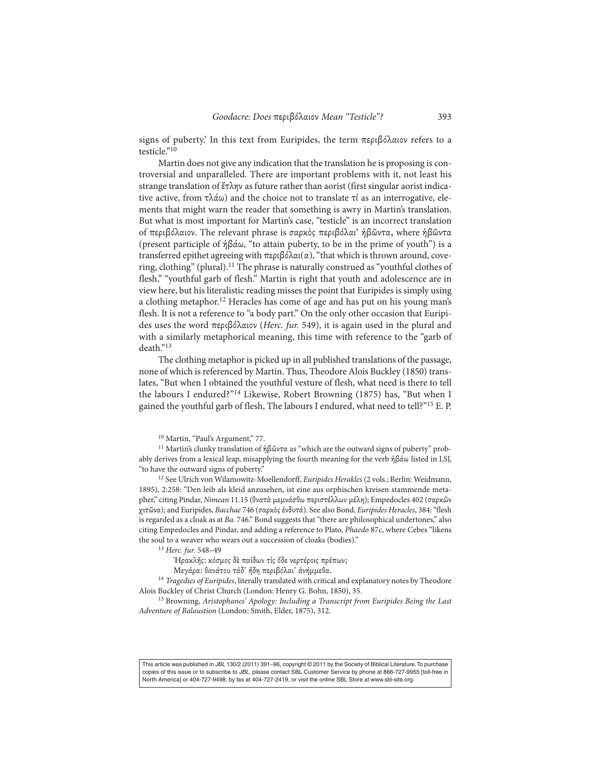signs of puberty.' In this text from Euripides, the term περιβόλαιον refers to a testicle."<sup>10</sup>

Martin does not give any indication that the translation he is proposing is controversial and unparalleled. There are important problems with it, not least his strange translation of ἔτλην as future rather than aorist (first singular aorist indicative active, from  $τλάω$ ) and the choice not to translate  $τ$ ί as an interrogative, elements that might warn the reader that something is awry in Martin's translation. But what is most important for Martin's case, "testicle" is an incorrect translation of περιβόλαιον. The relevant phrase is σαρκὸς περιβόλαι' ἡβῶντα, where ἡβῶντα (present participle of ἡβάω, "to attain puberty, to be in the prime of youth") is a transferred epithet agreeing with περιβόλαι(α), "that which is thrown around, covering, clothing" (plural).<sup>11</sup> The phrase is naturally construed as "youthful clothes of flesh," "youthful garb of flesh." Martin is right that youth and adolescence are in view here, but his literalistic reading misses the point that Euripides is simply using a clothing metaphor.12 Heracles has come of age and has put on his young man's flesh. It is not a reference to "a body part." On the only other occasion that Euripides uses the word περιβόλαιον (*Herc. fur.* 549), it is again used in the plural and with a similarly metaphorical meaning, this time with reference to the "garb of death."13

The clothing metaphor is picked up in all published translations of the passage, none of which is referenced by Martin. Thus, Theodore Alois Buckley (1850) translates, "But when I obtained the youthful vesture of flesh, what need is there to tell the labours I endured?"<sup>14</sup> Likewise, Robert Browning (1875) has, "But when I gained the youthful garb of flesh, The labours I endured, what need to tell?"<sup>15</sup> E. P.

<sup>11</sup> Martin's clunky translation of ήβῶντα as "which are the outward signs of puberty" probably derives from a lexical leap, misapplying the fourth meaning for the verb ἡβάω listed in LSJ, "to have the outward signs of puberty."

<sup>12</sup> See Ulrich von Wilamowitz-Moellendorff, *Euripides Herakles* (2 vols.; Berlin: Weidmann, 1895), 2:258: "Den leib als kleid anzusehen, ist eine aus orphischen kreisen stammende metapher," citing Pindar, *Nimean* 11.15 (θνατὰ µεµνάσθω περιστέλλων µέλη); Empedocles 402 (σαρκῶν χιτῶνα); and Euripides, *Bacchae* 746 (σαρκὸς ἐνδυτά). See also Bond, *Euripides Heracles*, 384: "flesh is regarded as a cloak as at *Ba.* 746." Bond suggests that "there are philosophical undertones," also citing Empedocles and Pindar, and adding a reference to Plato, *Phaedo* 87c, where Cebes "likens the soul to a weaver who wears out a succession of cloaks (bodies)."

<sup>13</sup> *Herc. fur.* 548–49

Ἡρακλῆς: κόσµος δὲ παίδων τίς ὅδε νερτέροις πρέπων;

Μεγάρα: θανάτου τάδ᾽ ἤδη περιβόλαι᾽ ἀνήµµεθα.

<sup>14</sup> *Tragedies of Euripides*, literally translated with critical and explanatory notes by Theodore Alois Buckley of Christ Church (London: Henry G. Bohn, 1850), 35.

<sup>15</sup> Browning, *Aristophanes' Apology: Including a Transcript from Euripides Being the Last Adventure of Balaustion* (London: Smith, Elder, 1875), 312.

This article was published in JBL 130/2 (2011) 391-96, copyright © 2011 by the Society of Biblical Literature. To purchase copies of this issue or to subscribe to JBL, please contact SBL Customer Service by phone at 866-727-9955 [toll-free in North America] or 404-727-9498, by fax at 404-727-2419, or visit the online SBL Store at www.sbl-site.org.

<sup>10</sup> Martin, "Paul's Argument," 77.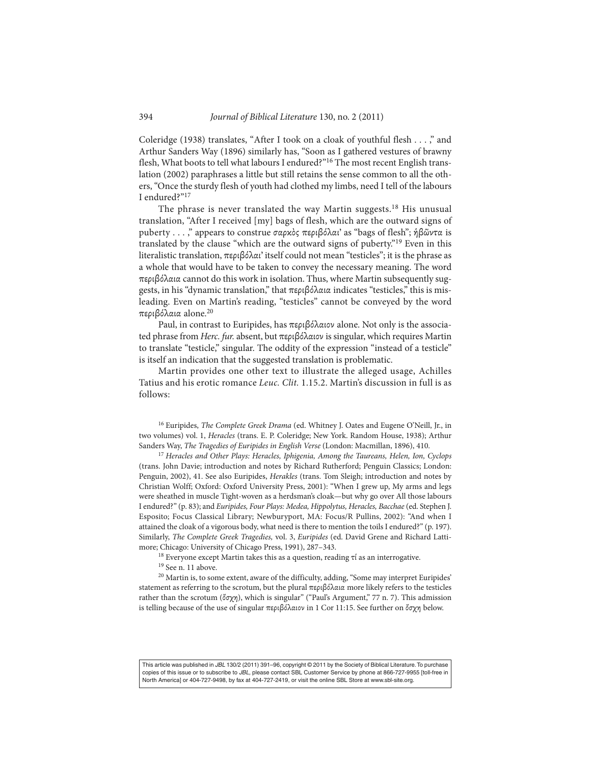Coleridge (1938) translates, "After I took on a cloak of youthful flesh . . . ," and Arthur Sanders Way (1896) similarly has, "Soon as I gathered vestures of brawny flesh, What boots to tell what labours I endured?"16 The most recent English translation (2002) paraphrases a little but still retains the sense common to all the others, "Once the sturdy flesh of youth had clothed my limbs, need I tell of the labours I endured?"17

The phrase is never translated the way Martin suggests.<sup>18</sup> His unusual translation, "After I received [my] bags of flesh, which are the outward signs of puberty . . . ," appears to construe σαρκὸς περιβόλαι' as "bags of flesh"; ἡβῶντα is translated by the clause "which are the outward signs of puberty."<sup>19</sup> Even in this literalistic translation, περιβόλαι' itself could not mean "testicles"; it is the phrase as a whole that would have to be taken to convey the necessary meaning. The word περιβόλαια cannot do this work in isolation. Thus, where Martin subsequently suggests, in his "dynamic translation," that περιβόλαια indicates "testicles," this is misleading. Even on Martin's reading, "testicles" cannot be conveyed by the word περιβόλαια alone.<sup>20</sup>

Paul, in contrast to Euripides, has περιβόλαιον alone. Not only is the associated phrase from *Herc. fur.* absent, but περιβόλαιον is singular, which requires Martin to translate "testicle," singular. The oddity of the expression "instead of a testicle" is itself an indication that the suggested translation is problematic.

Martin provides one other text to illustrate the alleged usage, Achilles Tatius and his erotic romance *Leuc. Clit.* 1.15.2. Martin's discussion in full is as follows:

<sup>16</sup> Euripides, *The Complete Greek Drama* (ed. Whitney J. Oates and Eugene O'Neill, Jr., in two volumes) vol. 1, *Heracles* (trans. E. P. Coleridge; New York. Random House, 1938); Arthur Sanders Way, *The Tragedies of Euripides in English Verse* (London: Macmillan, 1896), 410.

<sup>17</sup> *Heracles and Other Plays: Heracles, Iphigenia, Among the Taureans, Helen, Ion, Cyclops* (trans. John Davie; introduction and notes by Richard Rutherford; Penguin Classics; London: Penguin, 2002), 41. See also Euripides, *Herakles* (trans. Tom Sleigh; introduction and notes by Christian Wolff; Oxford: Oxford University Press, 2001): "When I grew up, My arms and legs were sheathed in muscle Tight-woven as a herdsman's cloak—but why go over All those labours I endured?" (p. 83); and *Euripides, Four Plays: Medea, Hippolytus, Heracles, Bacchae* (ed. Stephen J. Esposito; Focus Classical Library; Newburyport, MA: Focus/R Pullins, 2002): "And when I attained the cloak of a vigorous body, what need is there to mention the toils I endured?" (p. 197). Similarly, *The Complete Greek Tragedies,* vol. 3, *Euripides* (ed. David Grene and Richard Lattimore; Chicago: University of Chicago Press, 1991), 287–343.

<sup>18</sup> Everyone except Martin takes this as a question, reading  $τ$ ί as an interrogative.

<sup>19</sup> See n. 11 above.

<sup>20</sup> Martin is, to some extent, aware of the difficulty, adding, "Some may interpret Euripides' statement as referring to the scrotum, but the plural περιβόλαια more likely refers to the testicles rather than the scrotum (ὄσχη), which is singular" ("Paul's Argument," 77 n. 7). This admission is telling because of the use of singular περιβόλαιον in 1 Cor 11:15. See further on ὄσχη below.

This article was published in JBL 130/2 (2011) 391-96, copyright @ 2011 by the Society of Biblical Literature. To purchase copies of this issue or to subscribe to JBL, please contact SBL Customer Service by phone at 866-727-9955 [toll-free in North America] or 404-727-9498, by fax at 404-727-2419, or visit the online SBL Store at www.sbl-site.org.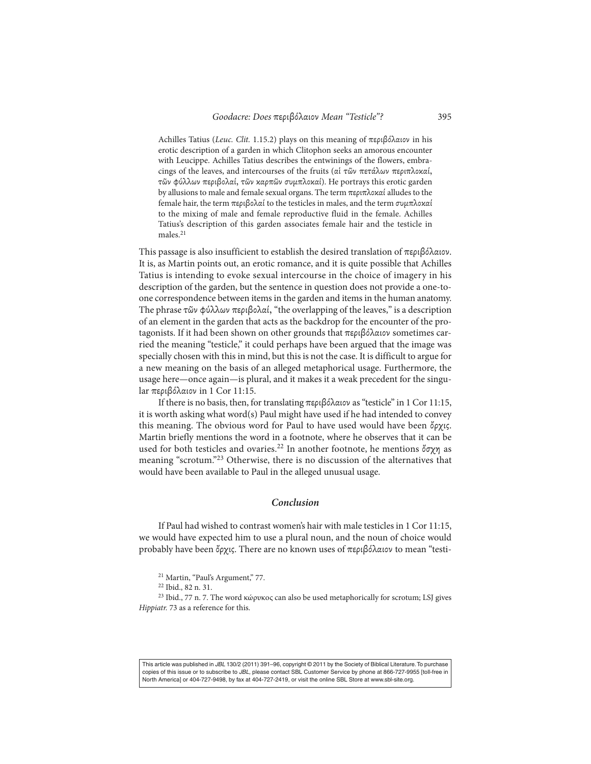Achilles Tatius (*Leuc. Clit.* 1.15.2) plays on this meaning of περιβόλαιον in his erotic description of a garden in which Clitophon seeks an amorous encounter with Leucippe. Achilles Tatius describes the entwinings of the flowers, embracings of the leaves, and intercourses of the fruits (αἱ τῶν πετάλων περιπλοκαί, τῶν φύλλων περιβολαί, τῶν καρπῶν συµπλοκαί). He portrays this erotic garden by allusions to male and female sexual organs. The term περιπλοκαί alludes to the female hair, the term περιβολαί to the testicles in males, and the term συµπλοκαί to the mixing of male and female reproductive fluid in the female. Achilles Tatius's description of this garden associates female hair and the testicle in males.<sup>21</sup>

This passage is also insufficient to establish the desired translation of περιβόλαιον. It is, as Martin points out, an erotic romance, and it is quite possible that Achilles Tatius is intending to evoke sexual intercourse in the choice of imagery in his description of the garden, but the sentence in question does not provide a one-toone correspondence between items in the garden and items in the human anatomy. The phrase τῶν φύλλων περιβολαί, "the overlapping of the leaves," is a description of an element in the garden that acts as the backdrop for the encounter of the protagonists. If it had been shown on other grounds that περιβόλαιον sometimes carried the meaning "testicle," it could perhaps have been argued that the image was specially chosen with this in mind, but this is not the case. It is difficult to argue for a new meaning on the basis of an alleged metaphorical usage. Furthermore, the usage here—once again—is plural, and it makes it a weak precedent for the singular περιβόλαιον in 1 Cor 11:15.

If there is no basis, then, for translating περιβόλαιον as "testicle" in 1 Cor 11:15, it is worth asking what word(s) Paul might have used if he had intended to convey this meaning. The obvious word for Paul to have used would have been ὄρχις. Martin briefly mentions the word in a footnote, where he observes that it can be used for both testicles and ovaries.<sup>22</sup> In another footnote, he mentions ὄσχη as meaning "scrotum."<sup>23</sup> Otherwise, there is no discussion of the alternatives that would have been available to Paul in the alleged unusual usage.

## *Conclusion*

If Paul had wished to contrast women's hair with male testicles in 1 Cor 11:15, we would have expected him to use a plural noun, and the noun of choice would probably have been ὄρχις. There are no known uses of περιβόλαιον to mean "testi-

<sup>23</sup> Ibid., 77 n. 7. The word κώρυκος can also be used metaphorically for scrotum; LSJ gives *Hippiatr.* 73 as a reference for this.

This article was published in JBL 130/2 (2011) 391-96, copyright @ 2011 by the Society of Biblical Literature. To purchase copies of this issue or to subscribe to JBL, please contact SBL Customer Service by phone at 866-727-9955 [toll-free in North America] or 404-727-9498, by fax at 404-727-2419, or visit the online SBL Store at www.sbl-site.org.

<sup>&</sup>lt;sup>21</sup> Martin, "Paul's Argument," 77.

<sup>22</sup> Ibid., 82 n. 31.